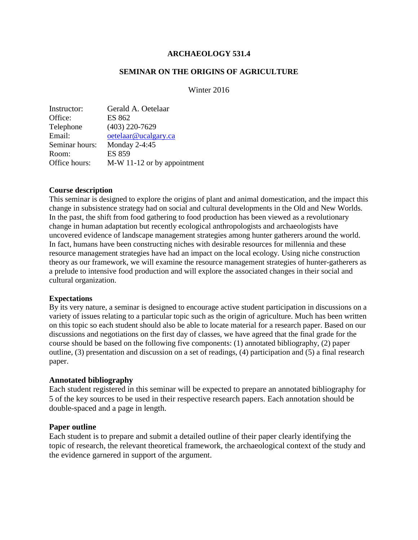#### **ARCHAEOLOGY 531.4**

### **SEMINAR ON THE ORIGINS OF AGRICULTURE**

### Winter 2016

| Instructor:    | Gerald A. Oetelaar          |
|----------------|-----------------------------|
| Office:        | ES 862                      |
| Telephone      | $(403)$ 220-7629            |
| Email:         | oetelaar@ucalgary.ca        |
| Seminar hours: | Monday 2-4:45               |
| Room:          | <b>ES 859</b>               |
| Office hours:  | M-W 11-12 or by appointment |
|                |                             |

#### **Course description**

This seminar is designed to explore the origins of plant and animal domestication, and the impact this change in subsistence strategy had on social and cultural developments in the Old and New Worlds. In the past, the shift from food gathering to food production has been viewed as a revolutionary change in human adaptation but recently ecological anthropologists and archaeologists have uncovered evidence of landscape management strategies among hunter gatherers around the world. In fact, humans have been constructing niches with desirable resources for millennia and these resource management strategies have had an impact on the local ecology. Using niche construction theory as our framework, we will examine the resource management strategies of hunter-gatherers as a prelude to intensive food production and will explore the associated changes in their social and cultural organization.

#### **Expectations**

By its very nature, a seminar is designed to encourage active student participation in discussions on a variety of issues relating to a particular topic such as the origin of agriculture. Much has been written on this topic so each student should also be able to locate material for a research paper. Based on our discussions and negotiations on the first day of classes, we have agreed that the final grade for the course should be based on the following five components: (1) annotated bibliography, (2) paper outline, (3) presentation and discussion on a set of readings, (4) participation and (5) a final research paper.

#### **Annotated bibliography**

Each student registered in this seminar will be expected to prepare an annotated bibliography for 5 of the key sources to be used in their respective research papers. Each annotation should be double-spaced and a page in length.

#### **Paper outline**

Each student is to prepare and submit a detailed outline of their paper clearly identifying the topic of research, the relevant theoretical framework, the archaeological context of the study and the evidence garnered in support of the argument.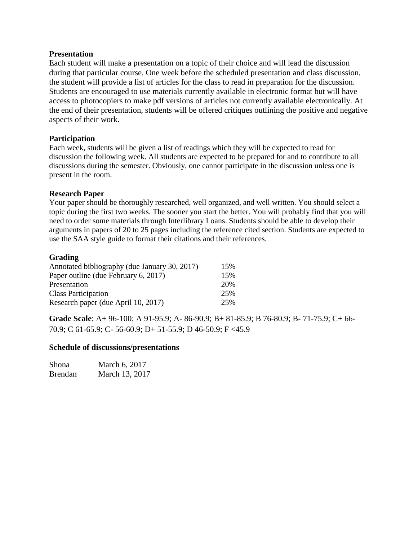#### **Presentation**

Each student will make a presentation on a topic of their choice and will lead the discussion during that particular course. One week before the scheduled presentation and class discussion, the student will provide a list of articles for the class to read in preparation for the discussion. Students are encouraged to use materials currently available in electronic format but will have access to photocopiers to make pdf versions of articles not currently available electronically. At the end of their presentation, students will be offered critiques outlining the positive and negative aspects of their work.

### **Participation**

Each week, students will be given a list of readings which they will be expected to read for discussion the following week. All students are expected to be prepared for and to contribute to all discussions during the semester. Obviously, one cannot participate in the discussion unless one is present in the room.

### **Research Paper**

Your paper should be thoroughly researched, well organized, and well written. You should select a topic during the first two weeks. The sooner you start the better. You will probably find that you will need to order some materials through Interlibrary Loans. Students should be able to develop their arguments in papers of 20 to 25 pages including the reference cited section. Students are expected to use the SAA style guide to format their citations and their references.

### **Grading**

| Annotated bibliography (due January 30, 2017) | 15% |
|-----------------------------------------------|-----|
| Paper outline (due February 6, 2017)          | 15% |
| Presentation                                  | 20% |
| <b>Class Participation</b>                    | 25% |
| Research paper (due April 10, 2017)           | 25% |

**Grade Scale**: A+ 96-100; A 91-95.9; A- 86-90.9; B+ 81-85.9; B 76-80.9; B- 71-75.9; C+ 66- 70.9; C 61-65.9; C- 56-60.9; D+ 51-55.9; D 46-50.9; F <45.9

#### **Schedule of discussions/presentations**

| Shona          | March 6, 2017  |
|----------------|----------------|
| <b>Brendan</b> | March 13, 2017 |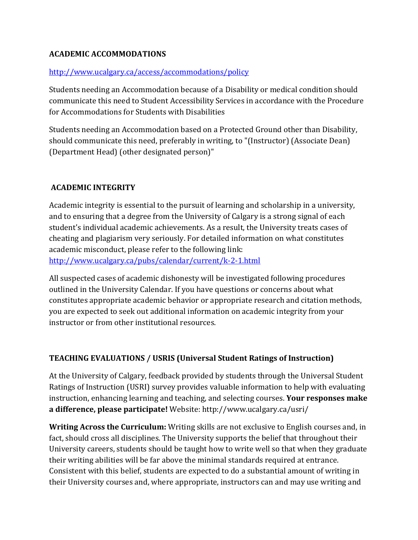# **ACADEMIC ACCOMMODATIONS**

## <http://www.ucalgary.ca/access/accommodations/policy>

Students needing an Accommodation because of a Disability or medical condition should communicate this need to Student Accessibility Services in accordance with the Procedure for Accommodations for Students with Disabilities

Students needing an Accommodation based on a Protected Ground other than Disability, should communicate this need, preferably in writing, to "(Instructor) (Associate Dean) (Department Head) (other designated person)"

# **ACADEMIC INTEGRITY**

Academic integrity is essential to the pursuit of learning and scholarship in a university, and to ensuring that a degree from the University of Calgary is a strong signal of each student's individual academic achievements. As a result, the University treats cases of cheating and plagiarism very seriously. For detailed information on what constitutes academic misconduct, please refer to the following link: <http://www.ucalgary.ca/pubs/calendar/current/k-2-1.html>

All suspected cases of academic dishonesty will be investigated following procedures outlined in the University Calendar. If you have questions or concerns about what constitutes appropriate academic behavior or appropriate research and citation methods, you are expected to seek out additional information on academic integrity from your instructor or from other institutional resources.

# **TEACHING EVALUATIONS / USRIS (Universal Student Ratings of Instruction)**

At the University of Calgary, feedback provided by students through the Universal Student Ratings of Instruction (USRI) survey provides valuable information to help with evaluating instruction, enhancing learning and teaching, and selecting courses. **Your responses make a difference, please participate!** Website: http://www.ucalgary.ca/usri/

**Writing Across the Curriculum:** Writing skills are not exclusive to English courses and, in fact, should cross all disciplines. The University supports the belief that throughout their University careers, students should be taught how to write well so that when they graduate their writing abilities will be far above the minimal standards required at entrance. Consistent with this belief, students are expected to do a substantial amount of writing in their University courses and, where appropriate, instructors can and may use writing and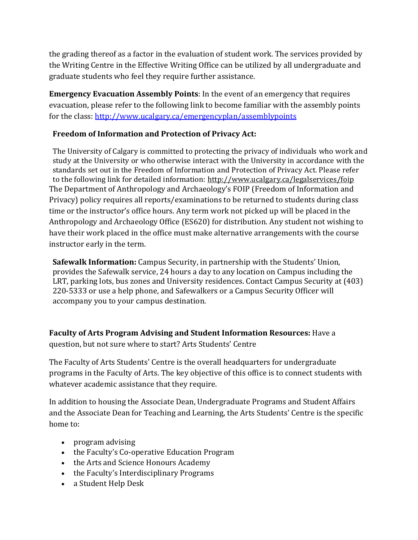the grading thereof as a factor in the evaluation of student work. The services provided by the Writing Centre in the Effective Writing Office can be utilized by all undergraduate and graduate students who feel they require further assistance.

**Emergency Evacuation Assembly Points**: In the event of an emergency that requires evacuation, please refer to the following link to become familiar with the assembly points for the class:<http://www.ucalgary.ca/emergencyplan/assemblypoints>

## **Freedom of Information and Protection of Privacy Act:**

The University of Calgary is committed to protecting the privacy of individuals who work and study at the University or who otherwise interact with the University in accordance with the standards set out in the Freedom of Information and Protection of Privacy Act. Please refer to the following link for detailed information: <http://www.ucalgary.ca/legalservices/foip> The Department of Anthropology and Archaeology's FOIP (Freedom of Information and Privacy) policy requires all reports/examinations to be returned to students during class time or the instructor's office hours. Any term work not picked up will be placed in the Anthropology and Archaeology Office (ES620) for distribution. Any student not wishing to have their work placed in the office must make alternative arrangements with the course instructor early in the term.

**Safewalk Information:** Campus Security, in partnership with the Students' Union, provides the Safewalk service, 24 hours a day to any location on Campus including the LRT, parking lots, bus zones and University residences. Contact Campus Security at (403) 220-5333 or use a help phone, and Safewalkers or a Campus Security Officer will accompany you to your campus destination.

**Faculty of Arts Program Advising and Student Information Resources:** Have a question, but not sure where to start? Arts Students' Centre

The Faculty of Arts Students' Centre is the overall headquarters for undergraduate programs in the Faculty of Arts. The key objective of this office is to connect students with whatever academic assistance that they require.

In addition to housing the Associate Dean, Undergraduate Programs and Student Affairs and the Associate Dean for Teaching and Learning, the Arts Students' Centre is the specific home to:

- program advising
- the Faculty's Co-operative Education Program
- the Arts and Science Honours Academy
- the Faculty's Interdisciplinary Programs
- a Student Help Desk